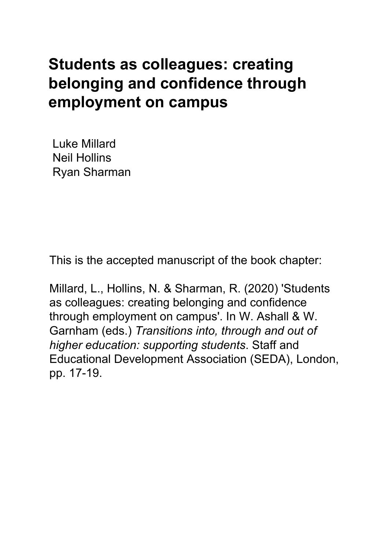# **Students as colleagues: creating belonging and confidence through employment on campus**

Luke Millard Neil Hollins Ryan Sharman

This is the accepted manuscript of the book chapter:

Millard, L., Hollins, N. & Sharman, R. (2020) 'Students as colleagues: creating belonging and confidence through employment on campus'. In W. Ashall & W. Garnham (eds.) *Transitions into, through and out of higher education: supporting students*. Staff and Educational Development Association (SEDA), London, pp. 17-19.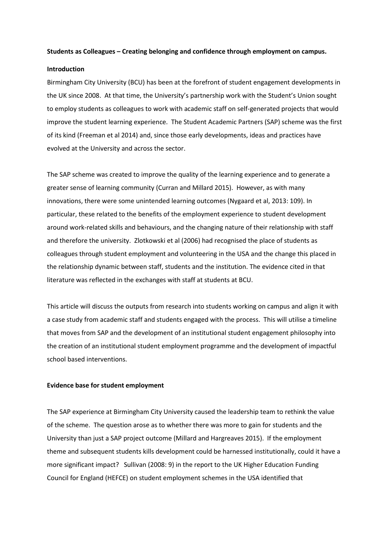#### **Students as Colleagues – Creating belonging and confidence through employment on campus.**

## **Introduction**

Birmingham City University (BCU) has been at the forefront of student engagement developments in the UK since 2008. At that time, the University's partnership work with the Student's Union sought to employ students as colleagues to work with academic staff on self-generated projects that would improve the student learning experience. The Student Academic Partners (SAP) scheme was the first of its kind (Freeman et al 2014) and, since those early developments, ideas and practices have evolved at the University and across the sector.

The SAP scheme was created to improve the quality of the learning experience and to generate a greater sense of learning community (Curran and Millard 2015). However, as with many innovations, there were some unintended learning outcomes (Nygaard et al, 2013: 109). In particular, these related to the benefits of the employment experience to student development around work-related skills and behaviours, and the changing nature of their relationship with staff and therefore the university. Zlotkowski et al (2006) had recognised the place of students as colleagues through student employment and volunteering in the USA and the change this placed in the relationship dynamic between staff, students and the institution. The evidence cited in that literature was reflected in the exchanges with staff at students at BCU.

This article will discuss the outputs from research into students working on campus and align it with a case study from academic staff and students engaged with the process. This will utilise a timeline that moves from SAP and the development of an institutional student engagement philosophy into the creation of an institutional student employment programme and the development of impactful school based interventions.

#### **Evidence base for student employment**

The SAP experience at Birmingham City University caused the leadership team to rethink the value of the scheme. The question arose as to whether there was more to gain for students and the University than just a SAP project outcome (Millard and Hargreaves 2015). If the employment theme and subsequent students kills development could be harnessed institutionally, could it have a more significant impact? Sullivan (2008: 9) in the report to the UK Higher Education Funding Council for England (HEFCE) on student employment schemes in the USA identified that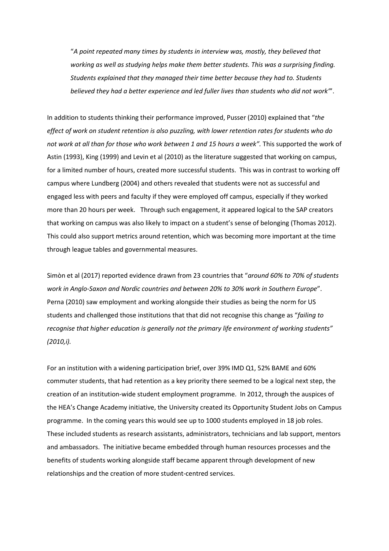"*A point repeated many times by students in interview was, mostly, they believed that working as well as studying helps make them better students. This was a surprising finding. Students explained that they managed their time better because they had to. Students believed they had a better experience and led fuller lives than students who did not work"*'.

In addition to students thinking their performance improved, Pusser (2010) explained that "*the effect of work on student retention is also puzzling, with lower retention rates for students who do not work at all than for those who work between 1 and 15 hours a week".* This supported the work of Astin (1993), King (1999) and Levin et al (2010) as the literature suggested that working on campus, for a limited number of hours, created more successful students. This was in contrast to working off campus where Lundberg (2004) and others revealed that students were not as successful and engaged less with peers and faculty if they were employed off campus, especially if they worked more than 20 hours per week. Through such engagement, it appeared logical to the SAP creators that working on campus was also likely to impact on a student's sense of belonging (Thomas 2012). This could also support metrics around retention, which was becoming more important at the time through league tables and governmental measures.

Simòn et al (2017) reported evidence drawn from 23 countries that "*around 60% to 70% of students work in Anglo-Saxon and Nordic countries and between 20% to 30% work in Southern Europe*". Perna (2010) saw employment and working alongside their studies as being the norm for US students and challenged those institutions that that did not recognise this change as "*failing to recognise that higher education is generally not the primary life environment of working students" (2010,i).*

For an institution with a widening participation brief, over 39% IMD Q1, 52% BAME and 60% commuter students, that had retention as a key priority there seemed to be a logical next step, the creation of an institution-wide student employment programme. In 2012, through the auspices of the HEA's Change Academy initiative, the University created its Opportunity Student Jobs on Campus programme. In the coming years this would see up to 1000 students employed in 18 job roles. These included students as research assistants, administrators, technicians and lab support, mentors and ambassadors. The initiative became embedded through human resources processes and the benefits of students working alongside staff became apparent through development of new relationships and the creation of more student-centred services.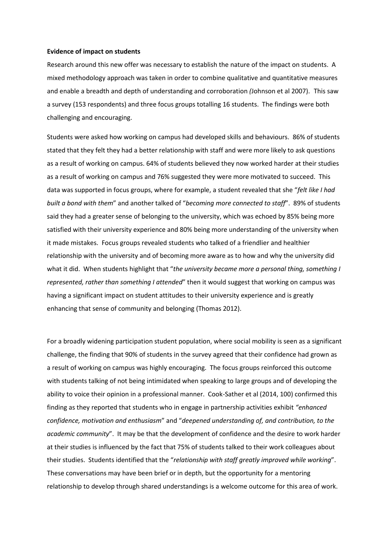#### **Evidence of impact on students**

Research around this new offer was necessary to establish the nature of the impact on students. A mixed methodology approach was taken in order to combine qualitative and quantitative measures and enable a breadth and depth of understanding and corroboration *(*Johnson et al 2007). This saw a survey (153 respondents) and three focus groups totalling 16 students. The findings were both challenging and encouraging.

Students were asked how working on campus had developed skills and behaviours. 86% of students stated that they felt they had a better relationship with staff and were more likely to ask questions as a result of working on campus. 64% of students believed they now worked harder at their studies as a result of working on campus and 76% suggested they were more motivated to succeed. This data was supported in focus groups, where for example, a student revealed that she "*felt like I had built a bond with them*" and another talked of "*becoming more connected to staff*". 89% of students said they had a greater sense of belonging to the university, which was echoed by 85% being more satisfied with their university experience and 80% being more understanding of the university when it made mistakes. Focus groups revealed students who talked of a friendlier and healthier relationship with the university and of becoming more aware as to how and why the university did what it did. When students highlight that "*the university became more a personal thing, something I represented, rather than something I attended*" then it would suggest that working on campus was having a significant impact on student attitudes to their university experience and is greatly enhancing that sense of community and belonging (Thomas 2012).

For a broadly widening participation student population, where social mobility is seen as a significant challenge, the finding that 90% of students in the survey agreed that their confidence had grown as a result of working on campus was highly encouraging. The focus groups reinforced this outcome with students talking of not being intimidated when speaking to large groups and of developing the ability to voice their opinion in a professional manner. Cook-Sather et al (2014, 100) confirmed this finding as they reported that students who in engage in partnership activities exhibit *"enhanced confidence, motivation and enthusiasm*" and "*deepened understanding of, and contribution, to the academic community*". It may be that the development of confidence and the desire to work harder at their studies is influenced by the fact that 75% of students talked to their work colleagues about their studies. Students identified that the "*relationship with staff greatly improved while working*". These conversations may have been brief or in depth, but the opportunity for a mentoring relationship to develop through shared understandings is a welcome outcome for this area of work.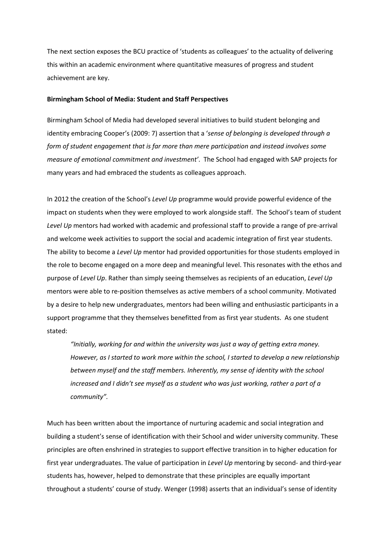The next section exposes the BCU practice of 'students as colleagues' to the actuality of delivering this within an academic environment where quantitative measures of progress and student achievement are key.

#### **Birmingham School of Media: Student and Staff Perspectives**

Birmingham School of Media had developed several initiatives to build student belonging and identity embracing Cooper's (2009: 7) assertion that a '*sense of belonging is developed through a form of student engagement that is far more than mere participation and instead involves some measure of emotional commitment and investment'*. The School had engaged with SAP projects for many years and had embraced the students as colleagues approach.

In 2012 the creation of the School's *Level Up* programme would provide powerful evidence of the impact on students when they were employed to work alongside staff. The School's team of student *Level Up* mentors had worked with academic and professional staff to provide a range of pre-arrival and welcome week activities to support the social and academic integration of first year students. The ability to become a *Level Up* mentor had provided opportunities for those students employed in the role to become engaged on a more deep and meaningful level. This resonates with the ethos and purpose of *Level Up*. Rather than simply seeing themselves as recipients of an education, *Level Up* mentors were able to re-position themselves as active members of a school community. Motivated by a desire to help new undergraduates, mentors had been willing and enthusiastic participants in a support programme that they themselves benefitted from as first year students. As one student stated:

*"Initially, working for and within the university was just a way of getting extra money. However, as I started to work more within the school, I started to develop a new relationship between myself and the staff members. Inherently, my sense of identity with the school increased and I didn't see myself as a student who was just working, rather a part of a community".*

Much has been written about the importance of nurturing academic and social integration and building a student's sense of identification with their School and wider university community. These principles are often enshrined in strategies to support effective transition in to higher education for first year undergraduates. The value of participation in *Level Up* mentoring by second- and third-year students has, however, helped to demonstrate that these principles are equally important throughout a students' course of study. Wenger (1998) asserts that an individual's sense of identity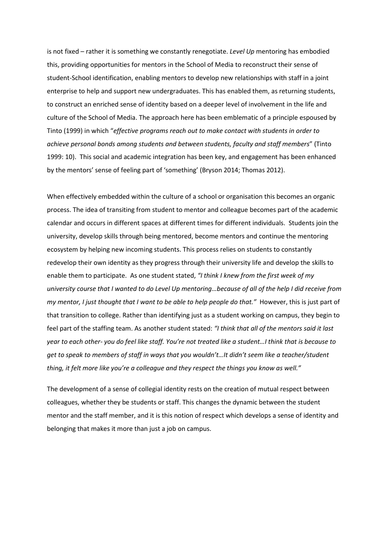is not fixed – rather it is something we constantly renegotiate. *Level Up* mentoring has embodied this, providing opportunities for mentors in the School of Media to reconstruct their sense of student-School identification, enabling mentors to develop new relationships with staff in a joint enterprise to help and support new undergraduates. This has enabled them, as returning students, to construct an enriched sense of identity based on a deeper level of involvement in the life and culture of the School of Media. The approach here has been emblematic of a principle espoused by Tinto (1999) in which "*effective programs reach out to make contact with students in order to achieve personal bonds among students and between students, faculty and staff members*" (Tinto 1999: 10). This social and academic integration has been key, and engagement has been enhanced by the mentors' sense of feeling part of 'something' (Bryson 2014; Thomas 2012).

When effectively embedded within the culture of a school or organisation this becomes an organic process. The idea of transiting from student to mentor and colleague becomes part of the academic calendar and occurs in different spaces at different times for different individuals. Students join the university, develop skills through being mentored, become mentors and continue the mentoring ecosystem by helping new incoming students. This process relies on students to constantly redevelop their own identity as they progress through their university life and develop the skills to enable them to participate. As one student stated, *"I think I knew from the first week of my university course that I wanted to do Level Up mentoring…because of all of the help I did receive from my mentor, I just thought that I want to be able to help people do that."* However, this is just part of that transition to college. Rather than identifying just as a student working on campus, they begin to feel part of the staffing team. As another student stated: *"I think that all of the mentors said it last year to each other- you do feel like staff. You're not treated like a student…I think that is because to get to speak to members of staff in ways that you wouldn't…It didn't seem like a teacher/student thing, it felt more like you're a colleague and they respect the things you know as well."* 

The development of a sense of collegial identity rests on the creation of mutual respect between colleagues, whether they be students or staff. This changes the dynamic between the student mentor and the staff member, and it is this notion of respect which develops a sense of identity and belonging that makes it more than just a job on campus.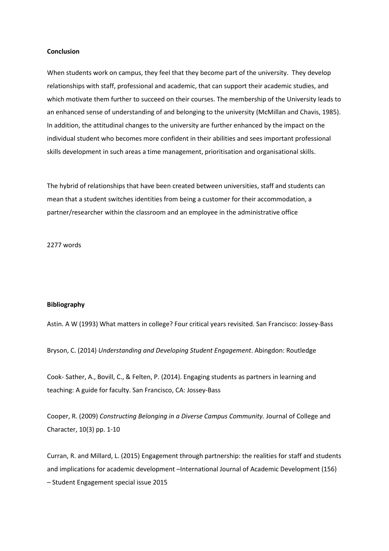#### **Conclusion**

When students work on campus, they feel that they become part of the university. They develop relationships with staff, professional and academic, that can support their academic studies, and which motivate them further to succeed on their courses. The membership of the University leads to an enhanced sense of understanding of and belonging to the university (McMillan and Chavis, 1985). In addition, the attitudinal changes to the university are further enhanced by the impact on the individual student who becomes more confident in their abilities and sees important professional skills development in such areas a time management, prioritisation and organisational skills.

The hybrid of relationships that have been created between universities, staff and students can mean that a student switches identities from being a customer for their accommodation, a partner/researcher within the classroom and an employee in the administrative office

2277 words

### **Bibliography**

Astin. A W (1993) What matters in college? Four critical years revisited. San Francisco: Jossey-Bass

Bryson, C. (2014) *Understanding and Developing Student Engagement*. Abingdon: Routledge

Cook- Sather, A., Bovill, C., & Felten, P. (2014). Engaging students as partners in learning and teaching: A guide for faculty. San Francisco, CA: Jossey-Bass

Cooper, R. (2009) *Constructing Belonging in a Diverse Campus Community.* Journal of College and Character, 10(3) pp. 1-10

Curran, R. and Millard, L. (2015) Engagement through partnership: the realities for staff and students and implications for academic development –International Journal of Academic Development (156) – Student Engagement special issue 2015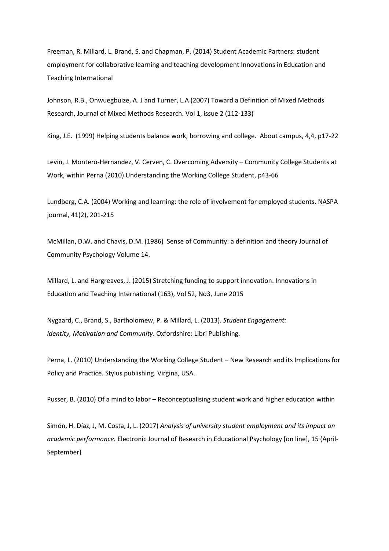Freeman, R. Millard, L. Brand, S. and Chapman, P. (2014) Student Academic Partners: student employment for collaborative learning and teaching development Innovations in Education and Teaching International

Johnson, R.B., Onwuegbuize, A. J and Turner, L.A (2007) Toward a Definition of Mixed Methods Research, Journal of Mixed Methods Research. Vol 1, issue 2 (112-133)

King, J.E. (1999) Helping students balance work, borrowing and college. About campus, 4,4, p17-22

Levin, J. Montero-Hernandez, V. Cerven, C. Overcoming Adversity – Community College Students at Work, within Perna (2010) Understanding the Working College Student, p43-66

Lundberg, C.A. (2004) Working and learning: the role of involvement for employed students. NASPA journal, 41(2), 201-215

McMillan, D.W. and Chavis, D.M. (1986) Sense of Community: a definition and theory Journal of Community Psychology Volume 14.

Millard, L. and Hargreaves, J. (2015) Stretching funding to support innovation. Innovations in Education and Teaching International (163), Vol 52, No3, June 2015

Nygaard, C., Brand, S., Bartholomew, P. & Millard, L. (2013). *Student Engagement: Identity, Motivation and Community*. Oxfordshire: Libri Publishing.

Perna, L. (2010) Understanding the Working College Student – New Research and its Implications for Policy and Practice. Stylus publishing. Virgina, USA.

Pusser, B. (2010) Of a mind to labor – Reconceptualising student work and higher education within

Simón, H. Díaz, J, M. Costa, J, L. (2017) *Analysis of university student employment and its impact on academic performance.* Electronic Journal of Research in Educational Psychology [on line], 15 (April-September)